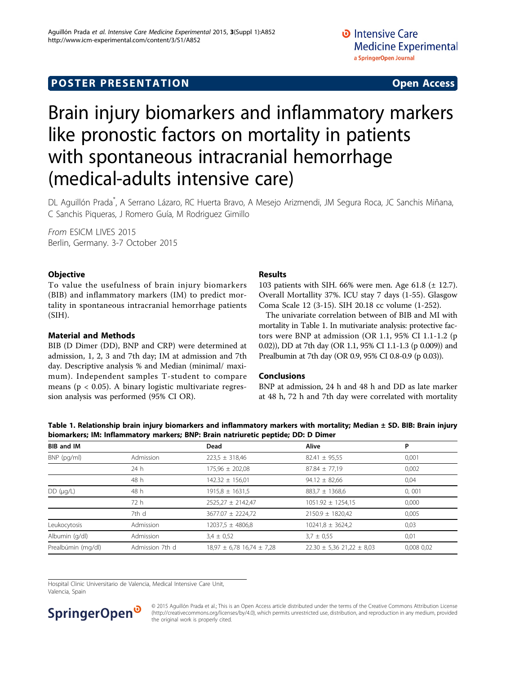## **POSTER PRESENTATION CONSUMING ACCESS**

# Brain injury biomarkers and inflammatory markers like pronostic factors on mortality in patients with spontaneous intracranial hemorrhage (medical-adults intensive care)

DL Aguillón Prada\* , A Serrano Lázaro, RC Huerta Bravo, A Mesejo Arizmendi, JM Segura Roca, JC Sanchis Miñana, C Sanchis Piqueras, J Romero Guía, M Rodriguez Gimillo

From ESICM LIVES 2015 Berlin, Germany. 3-7 October 2015

#### **Objective**

To value the usefulness of brain injury biomarkers (BIB) and inflammatory markers (IM) to predict mortality in spontaneous intracranial hemorrhage patients  $(SIH).$ 

#### Material and Methods

BIB (D Dimer (DD), BNP and CRP) were determined at admission, 1, 2, 3 and 7th day; IM at admission and 7th day. Descriptive analysis % and Median (minimal/ maximum). Independent samples T-student to compare means ( $p < 0.05$ ). A binary logistic multivariate regression analysis was performed (95% CI OR).

#### Results

103 patients with SIH. 66% were men. Age 61.8  $(\pm 12.7)$ . Overall Mortallity 37%. ICU stay 7 days (1-55). Glasgow Coma Scale 12 (3-15). SIH 20.18 cc volume (1-252).

The univariate correlation between of BIB and MI with mortality in Table 1. In mutivariate analysis: protective factors were BNP at admission (OR 1.1, 95% CI 1.1-1.2 (p 0.02)), DD at 7th day (OR 1.1, 95% CI 1.1-1.3 (p 0.009)) and Prealbumin at 7th day (OR 0.9, 95% CI 0.8-0.9 (p 0.03)).

#### Conclusions

BNP at admission, 24 h and 48 h and DD as late marker at 48 h, 72 h and 7th day were correlated with mortality

Table 1. Relationship brain injury biomarkers and inflammatory markers with mortality; Median ± SD. BIB: Brain injury biomarkers; IM: Inflammatory markers; BNP: Brain natriuretic peptide; DD: D Dimer

| <b>BIB and IM</b>  |                 | Dead                              | <b>Alive</b>                      | P          |
|--------------------|-----------------|-----------------------------------|-----------------------------------|------------|
| BNP (pg/ml)        | Admission       | $223.5 \pm 318.46$                | $82.41 \pm 95.55$                 | 0,001      |
|                    | 24 h            | $175,96 \pm 202,08$               | $87.84 \pm 77.19$                 | 0,002      |
|                    | 48 h            | $142.32 \pm 156.01$               | $94.12 \pm 82.66$                 | 0,04       |
| $DD$ ( $\mu g/L$ ) | 48 h            | $1915,8 \pm 1631,5$               | $883.7 \pm 1368.6$                | 0,001      |
|                    | 72 h            | $2525.27 \pm 2142.47$             | $1051.92 \pm 1254.15$             | 0,000      |
|                    | 7th d           | 3677.07 ± 2224,72                 | $2150.9 \pm 1820.42$              | 0,005      |
| Leukocytosis       | Admission       | 12037,5 ± 4806,8                  | $10241.8 \pm 3624.2$              | 0,03       |
| Albumin (g/dl)     | Admission       | $3.4 \pm 0.52$                    | $3.7 \pm 0.55$                    | 0,01       |
| Prealbúmin (mg/dl) | Admission 7th d | $18,97 \pm 6,78$ 16,74 $\pm$ 7,28 | $22.30 \pm 5.36$ 21,22 $\pm$ 8,03 | 0,008 0,02 |

Hospital Clinic Universitario de Valencia, Medical Intensive Care Unit, Valencia, Spain



© 2015 Aguillón Prada et al.; This is an Open Access article distributed under the terms of the Creative Commons Attribution License [\(http://creativecommons.org/licenses/by/4.0](http://creativecommons.org/licenses/by/4.0)), which permits unrestricted use, distribution, and reproduction in any medium, provided the original work is properly cited.